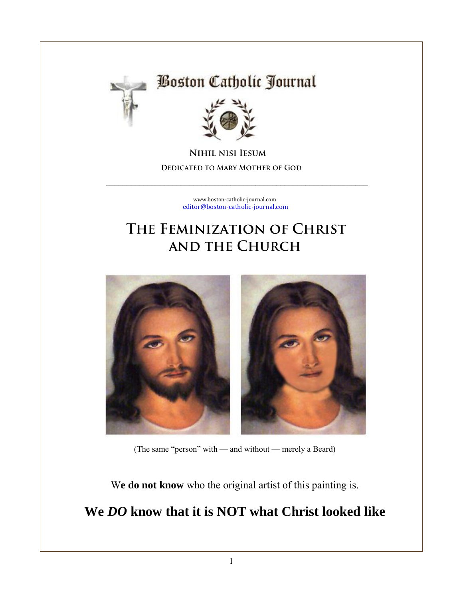

# **Boston Catholic Journal**



**NIHIL NISI IESUM DEDICATED TO MARY MOTHER OF GOD** 

> [www.boston-catholic-journal.com](http://www.boston-catholic-journal.com/) [editor@boston-catholic-journal.com](mailto:editor@boston-catholic-journal.com)

\_\_\_\_\_\_\_\_\_\_\_\_\_\_\_\_\_\_\_\_\_\_\_\_\_\_\_\_\_\_\_\_\_\_\_\_\_\_\_\_\_\_\_\_\_\_\_\_\_\_\_\_\_\_\_\_\_\_\_\_\_\_\_

# THE FEMINIZATION OF CHRIST **AND THE CHURCH**



(The same "person" with — and without — merely a Beard)

W**e do not know** who the original artist of this painting is.

### **We** *DO* **know that it is NOT what Christ looked like**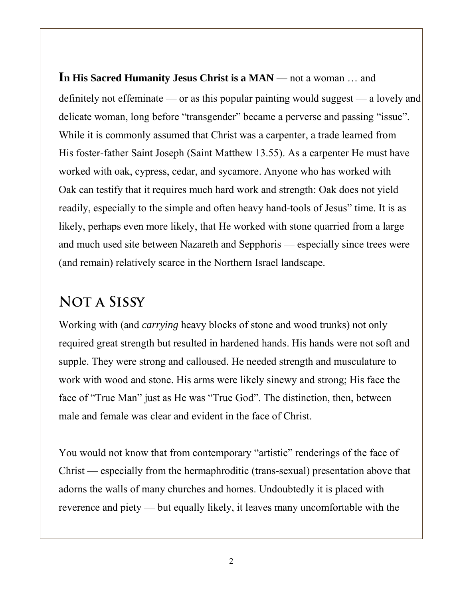**In His Sacred Humanity Jesus Christ is a MAN** — not a woman … and definitely not effeminate — or as this popular painting would suggest — a lovely and delicate woman, long before "transgender" became a perverse and passing "issue". While it is commonly assumed that Christ was a carpenter, a trade learned from His foster-father Saint Joseph (Saint Matthew 13.55). As a carpenter He must have worked with oak, cypress, cedar, and sycamore. Anyone who has worked with Oak can testify that it requires much hard work and strength: Oak does not yield readily, especially to the simple and often heavy hand-tools of Jesus" time. It is as likely, perhaps even more likely, that He worked with stone quarried from a large and much used site between Nazareth and Sepphoris — especially since trees were (and remain) relatively scarce in the Northern Israel landscape.

### **NOTA SISSY**

Working with (and *carrying* heavy blocks of stone and wood trunks) not only required great strength but resulted in hardened hands. His hands were not soft and supple. They were strong and calloused. He needed strength and musculature to work with wood and stone. His arms were likely sinewy and strong; His face the face of "True Man" just as He was "True God". The distinction, then, between male and female was clear and evident in the face of Christ.

You would not know that from contemporary "artistic" renderings of the face of Christ — especially from the hermaphroditic (trans-sexual) presentation above that adorns the walls of many churches and homes. Undoubtedly it is placed with reverence and piety — but equally likely, it leaves many uncomfortable with the

2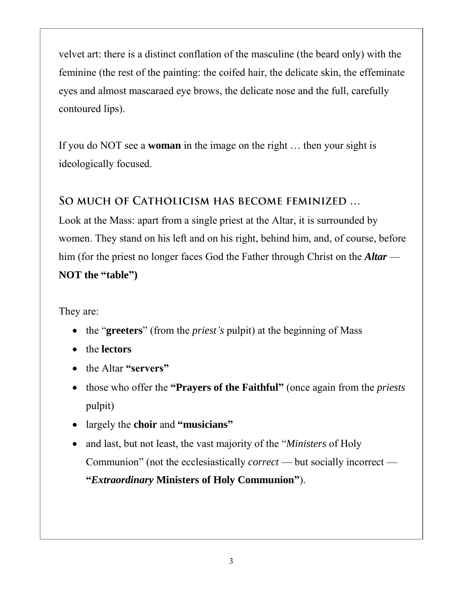velvet art: there is a distinct conflation of the masculine (the beard only) with the feminine (the rest of the painting: the coifed hair, the delicate skin, the effeminate eyes and almost mascaraed eye brows, the delicate nose and the full, carefully contoured lips).

If you do NOT see a **woman** in the image on the right … then your sight is ideologically focused.

#### SO MUCH OF CATHOLICISM HAS BECOME FEMINIZED ...

Look at the Mass: apart from a single priest at the Altar, it is surrounded by women. They stand on his left and on his right, behind him, and, of course, before him (for the priest no longer faces God the Father through Christ on the *Altar* — **NOT the "table")**

They are:

- the "**greeters**" (from the *priest's* pulpit) at the beginning of Mass
- the **lectors**
- the Altar **"servers"**
- those who offer the **"Prayers of the Faithful"** (once again from the *priests* pulpit)
- largely the **choir** and **"musicians"**
- and last, but not least, the vast majority of the "*Ministers* of Holy Communion" (not the ecclesiastically *correct* — but socially incorrect — **"***Extraordinary* **Ministers of Holy Communion"**).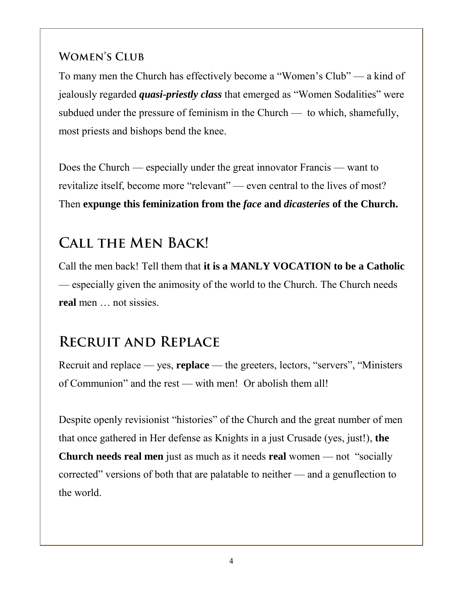#### **WOMEN'S CLUB**

To many men the Church has effectively become a "Women's Club" — a kind of jealously regarded *quasi-priestly class* that emerged as "Women Sodalities" were subdued under the pressure of feminism in the Church — to which, shamefully, most priests and bishops bend the knee.

Does the Church — especially under the great innovator Francis — want to revitalize itself, become more "relevant" — even central to the lives of most? Then **expunge this feminization from the** *face* **and** *dicasteries* **of the Church.**

## **CALL THE MEN BACK!**

Call the men back! Tell them that **it is a MANLY VOCATION to be a Catholic** — especially given the animosity of the world to the Church. The Church needs **real** men … not sissies.

## **RECRUIT AND REPLACE**

Recruit and replace — yes, **replace** — the greeters, lectors, "servers", "Ministers of Communion" and the rest — with men! Or abolish them all!

Despite openly revisionist "histories" of the Church and the great number of men that once gathered in Her defense as Knights in a just Crusade (yes, just!), **the Church needs real men** just as much as it needs **real** women — not "socially corrected" versions of both that are palatable to neither — and a genuflection to the world.